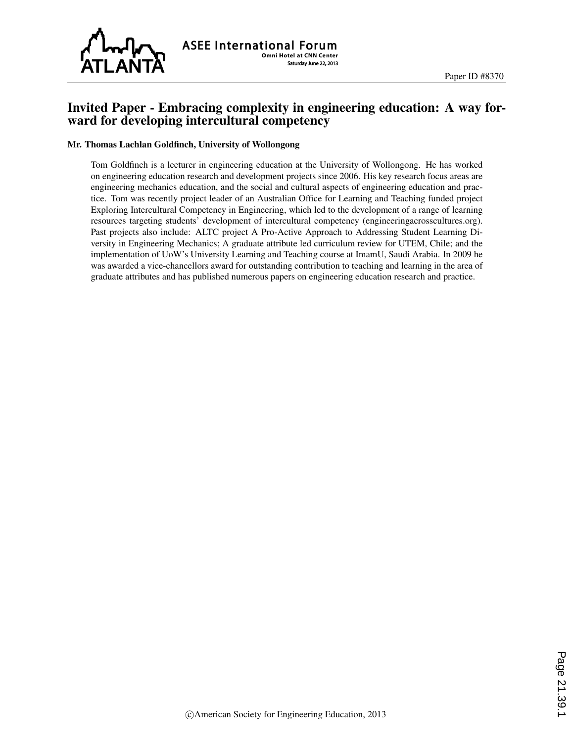

# Invited Paper - Embracing complexity in engineering education: A way forward for developing intercultural competency

#### Mr. Thomas Lachlan Goldfinch, University of Wollongong

Tom Goldfinch is a lecturer in engineering education at the University of Wollongong. He has worked on engineering education research and development projects since 2006. His key research focus areas are engineering mechanics education, and the social and cultural aspects of engineering education and practice. Tom was recently project leader of an Australian Office for Learning and Teaching funded project Exploring Intercultural Competency in Engineering, which led to the development of a range of learning resources targeting students' development of intercultural competency (engineeringacrosscultures.org). Past projects also include: ALTC project A Pro-Active Approach to Addressing Student Learning Diversity in Engineering Mechanics; A graduate attribute led curriculum review for UTEM, Chile; and the implementation of UoW's University Learning and Teaching course at ImamU, Saudi Arabia. In 2009 he was awarded a vice-chancellors award for outstanding contribution to teaching and learning in the area of graduate attributes and has published numerous papers on engineering education research and practice.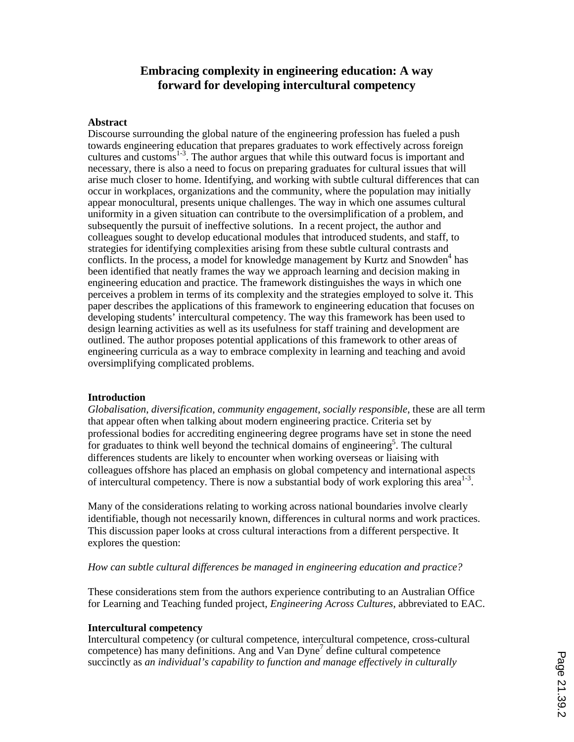# **Embracing complexity in engineering education: A way forward for developing intercultural competency**

### **Abstract**

Discourse surrounding the global nature of the engineering profession has fueled a push towards engineering education that prepares graduates to work effectively across foreign cultures and customs<sup>1-3</sup>. The author argues that while this outward focus is important and necessary, there is also a need to focus on preparing graduates for cultural issues that will arise much closer to home. Identifying, and working with subtle cultural differences that can occur in workplaces, organizations and the community, where the population may initially appear monocultural, presents unique challenges. The way in which one assumes cultural uniformity in a given situation can contribute to the oversimplification of a problem, and subsequently the pursuit of ineffective solutions. In a recent project, the author and colleagues sought to develop educational modules that introduced students, and staff, to strategies for identifying complexities arising from these subtle cultural contrasts and conflicts. In the process, a model for knowledge management by Kurtz and Snowden<sup>4</sup> has been identified that neatly frames the way we approach learning and decision making in engineering education and practice. The framework distinguishes the ways in which one perceives a problem in terms of its complexity and the strategies employed to solve it. This paper describes the applications of this framework to engineering education that focuses on developing students' intercultural competency. The way this framework has been used to design learning activities as well as its usefulness for staff training and development are outlined. The author proposes potential applications of this framework to other areas of engineering curricula as a way to embrace complexity in learning and teaching and avoid oversimplifying complicated problems.

#### **Introduction**

*Globalisation*, *diversification*, *community engagement*, *socially responsible*, these are all term that appear often when talking about modern engineering practice. Criteria set by professional bodies for accrediting engineering degree programs have set in stone the need for graduates to think well beyond the technical domains of engineering<sup>5</sup>. The cultural differences students are likely to encounter when working overseas or liaising with colleagues offshore has placed an emphasis on global competency and international aspects of intercultural competency. There is now a substantial body of work exploring this area<sup>1-3</sup>.

Many of the considerations relating to working across national boundaries involve clearly identifiable, though not necessarily known, differences in cultural norms and work practices. This discussion paper looks at cross cultural interactions from a different perspective. It explores the question:

### *How can subtle cultural differences be managed in engineering education and practice?*

These considerations stem from the authors experience contributing to an Australian Office for Learning and Teaching funded project, *Engineering Across Cultures*, abbreviated to EAC.

#### **Intercultural competency**

Intercultural competency (or cultural competence, intercultural competence, cross-cultural competence) has many definitions. Ang and Van Dyne7 define cultural competence succinctly as *an individual's capability to function and manage effectively in culturally*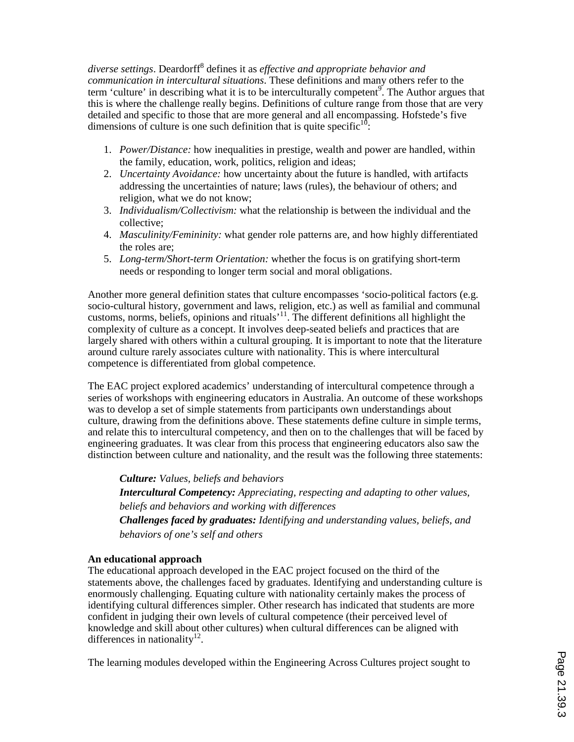*diverse settings*. Deardorff8 defines it as *effective and appropriate behavior and communication in intercultural situations*. These definitions and many others refer to the term 'culture' in describing what it is to be interculturally competent<sup>9</sup>. The Author argues that this is where the challenge really begins. Definitions of culture range from those that are very detailed and specific to those that are more general and all encompassing. Hofstede's five dimensions of culture is one such definition that is quite specific $10$ :

- 1. *Power/Distance:* how inequalities in prestige, wealth and power are handled, within the family, education, work, politics, religion and ideas;
- 2. *Uncertainty Avoidance:* how uncertainty about the future is handled, with artifacts addressing the uncertainties of nature; laws (rules), the behaviour of others; and religion, what we do not know;
- 3. *Individualism/Collectivism:* what the relationship is between the individual and the collective;
- 4. *Masculinity/Femininity:* what gender role patterns are, and how highly differentiated the roles are;
- 5. *Long-term/Short-term Orientation:* whether the focus is on gratifying short-term needs or responding to longer term social and moral obligations.

Another more general definition states that culture encompasses 'socio-political factors (e.g. socio-cultural history, government and laws, religion, etc.) as well as familial and communal customs, norms, beliefs, opinions and rituals<sup> $11$ </sup>. The different definitions all highlight the complexity of culture as a concept. It involves deep-seated beliefs and practices that are largely shared with others within a cultural grouping. It is important to note that the literature around culture rarely associates culture with nationality. This is where intercultural competence is differentiated from global competence.

The EAC project explored academics' understanding of intercultural competence through a series of workshops with engineering educators in Australia. An outcome of these workshops was to develop a set of simple statements from participants own understandings about culture, drawing from the definitions above. These statements define culture in simple terms, and relate this to intercultural competency, and then on to the challenges that will be faced by engineering graduates. It was clear from this process that engineering educators also saw the distinction between culture and nationality, and the result was the following three statements:

*Culture: Values, beliefs and behaviors* 

*Intercultural Competency: Appreciating, respecting and adapting to other values, beliefs and behaviors and working with differences*

*Challenges faced by graduates: Identifying and understanding values, beliefs, and behaviors of one's self and others*

## **An educational approach**

The educational approach developed in the EAC project focused on the third of the statements above, the challenges faced by graduates. Identifying and understanding culture is enormously challenging. Equating culture with nationality certainly makes the process of identifying cultural differences simpler. Other research has indicated that students are more confident in judging their own levels of cultural competence (their perceived level of knowledge and skill about other cultures) when cultural differences can be aligned with differences in nationality<sup>12</sup>.

The learning modules developed within the Engineering Across Cultures project sought to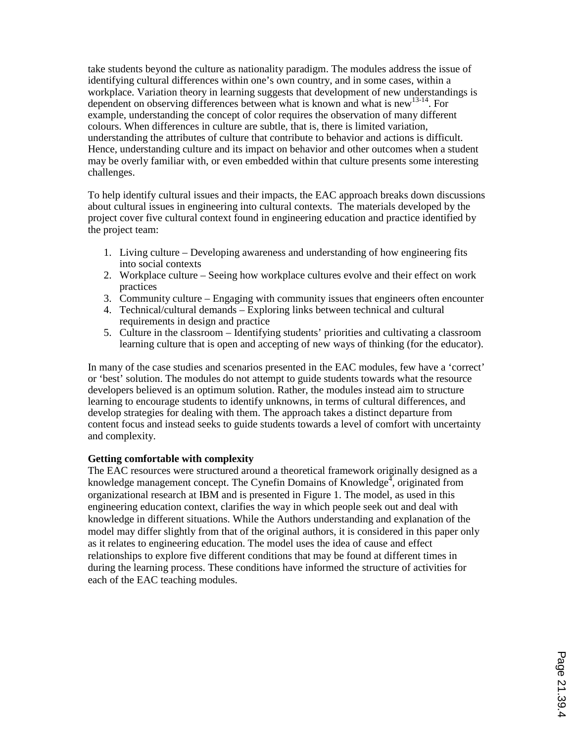take students beyond the culture as nationality paradigm. The modules address the issue of identifying cultural differences within one's own country, and in some cases, within a workplace. Variation theory in learning suggests that development of new understandings is dependent on observing differences between what is known and what is new<sup>13-14</sup>. For example, understanding the concept of color requires the observation of many different colours. When differences in culture are subtle, that is, there is limited variation, understanding the attributes of culture that contribute to behavior and actions is difficult. Hence, understanding culture and its impact on behavior and other outcomes when a student may be overly familiar with, or even embedded within that culture presents some interesting challenges.

To help identify cultural issues and their impacts, the EAC approach breaks down discussions about cultural issues in engineering into cultural contexts. The materials developed by the project cover five cultural context found in engineering education and practice identified by the project team:

- 1. Living culture Developing awareness and understanding of how engineering fits into social contexts
- 2. Workplace culture Seeing how workplace cultures evolve and their effect on work practices
- 3. Community culture Engaging with community issues that engineers often encounter
- 4. Technical/cultural demands Exploring links between technical and cultural requirements in design and practice
- 5. Culture in the classroom Identifying students' priorities and cultivating a classroom learning culture that is open and accepting of new ways of thinking (for the educator).

In many of the case studies and scenarios presented in the EAC modules, few have a 'correct' or 'best' solution. The modules do not attempt to guide students towards what the resource developers believed is an optimum solution. Rather, the modules instead aim to structure learning to encourage students to identify unknowns, in terms of cultural differences, and develop strategies for dealing with them. The approach takes a distinct departure from content focus and instead seeks to guide students towards a level of comfort with uncertainty and complexity.

#### **Getting comfortable with complexity**

The EAC resources were structured around a theoretical framework originally designed as a knowledge management concept. The Cynefin Domains of Knowledge<sup> $\frac{1}{4}$ </sup>, originated from organizational research at IBM and is presented in Figure 1. The model, as used in this engineering education context, clarifies the way in which people seek out and deal with knowledge in different situations. While the Authors understanding and explanation of the model may differ slightly from that of the original authors, it is considered in this paper only as it relates to engineering education. The model uses the idea of cause and effect relationships to explore five different conditions that may be found at different times in during the learning process. These conditions have informed the structure of activities for each of the EAC teaching modules.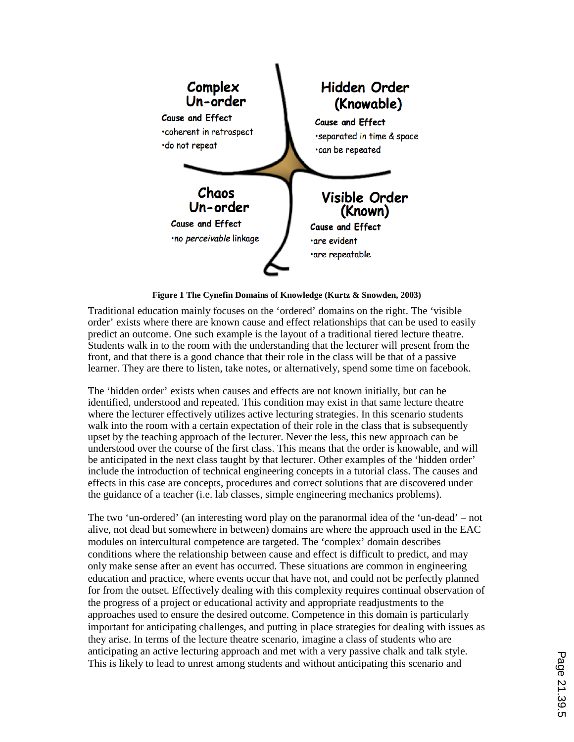

**Figure 1 The Cynefin Domains of Knowledge (Kurtz & Snowden, 2003)**

Traditional education mainly focuses on the 'ordered' domains on the right. The 'visible order' exists where there are known cause and effect relationships that can be used to easily predict an outcome. One such example is the layout of a traditional tiered lecture theatre. Students walk in to the room with the understanding that the lecturer will present from the front, and that there is a good chance that their role in the class will be that of a passive learner. They are there to listen, take notes, or alternatively, spend some time on facebook.

The 'hidden order' exists when causes and effects are not known initially, but can be identified, understood and repeated. This condition may exist in that same lecture theatre where the lecturer effectively utilizes active lecturing strategies. In this scenario students walk into the room with a certain expectation of their role in the class that is subsequently upset by the teaching approach of the lecturer. Never the less, this new approach can be understood over the course of the first class. This means that the order is knowable, and will be anticipated in the next class taught by that lecturer. Other examples of the 'hidden order' include the introduction of technical engineering concepts in a tutorial class. The causes and effects in this case are concepts, procedures and correct solutions that are discovered under the guidance of a teacher (i.e. lab classes, simple engineering mechanics problems).

The two 'un-ordered' (an interesting word play on the paranormal idea of the 'un-dead' – not alive, not dead but somewhere in between) domains are where the approach used in the EAC modules on intercultural competence are targeted. The 'complex' domain describes conditions where the relationship between cause and effect is difficult to predict, and may only make sense after an event has occurred. These situations are common in engineering education and practice, where events occur that have not, and could not be perfectly planned for from the outset. Effectively dealing with this complexity requires continual observation of the progress of a project or educational activity and appropriate readjustments to the approaches used to ensure the desired outcome. Competence in this domain is particularly important for anticipating challenges, and putting in place strategies for dealing with issues as they arise. In terms of the lecture theatre scenario, imagine a class of students who are anticipating an active lecturing approach and met with a very passive chalk and talk style. This is likely to lead to unrest among students and without anticipating this scenario and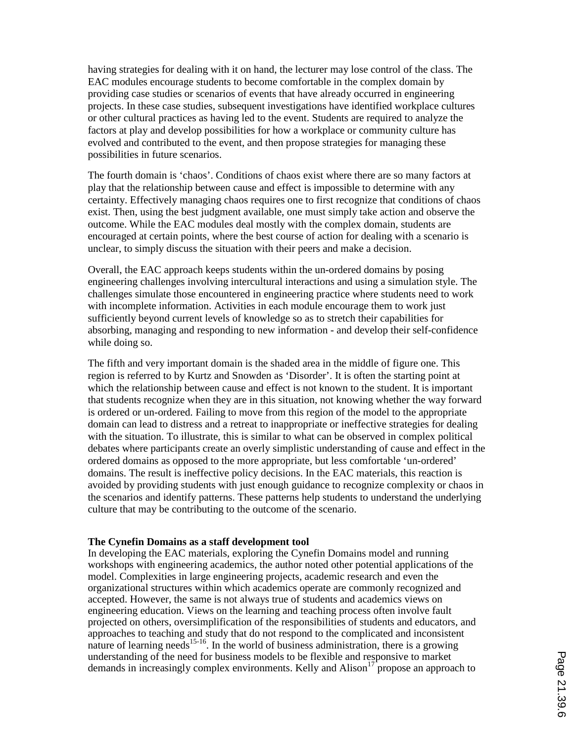having strategies for dealing with it on hand, the lecturer may lose control of the class. The EAC modules encourage students to become comfortable in the complex domain by providing case studies or scenarios of events that have already occurred in engineering projects. In these case studies, subsequent investigations have identified workplace cultures or other cultural practices as having led to the event. Students are required to analyze the factors at play and develop possibilities for how a workplace or community culture has evolved and contributed to the event, and then propose strategies for managing these possibilities in future scenarios.

The fourth domain is 'chaos'. Conditions of chaos exist where there are so many factors at play that the relationship between cause and effect is impossible to determine with any certainty. Effectively managing chaos requires one to first recognize that conditions of chaos exist. Then, using the best judgment available, one must simply take action and observe the outcome. While the EAC modules deal mostly with the complex domain, students are encouraged at certain points, where the best course of action for dealing with a scenario is unclear, to simply discuss the situation with their peers and make a decision.

Overall, the EAC approach keeps students within the un-ordered domains by posing engineering challenges involving intercultural interactions and using a simulation style. The challenges simulate those encountered in engineering practice where students need to work with incomplete information. Activities in each module encourage them to work just sufficiently beyond current levels of knowledge so as to stretch their capabilities for absorbing, managing and responding to new information - and develop their self-confidence while doing so.

The fifth and very important domain is the shaded area in the middle of figure one. This region is referred to by Kurtz and Snowden as 'Disorder'. It is often the starting point at which the relationship between cause and effect is not known to the student. It is important that students recognize when they are in this situation, not knowing whether the way forward is ordered or un-ordered. Failing to move from this region of the model to the appropriate domain can lead to distress and a retreat to inappropriate or ineffective strategies for dealing with the situation. To illustrate, this is similar to what can be observed in complex political debates where participants create an overly simplistic understanding of cause and effect in the ordered domains as opposed to the more appropriate, but less comfortable 'un-ordered' domains. The result is ineffective policy decisions. In the EAC materials, this reaction is avoided by providing students with just enough guidance to recognize complexity or chaos in the scenarios and identify patterns. These patterns help students to understand the underlying culture that may be contributing to the outcome of the scenario.

#### **The Cynefin Domains as a staff development tool**

In developing the EAC materials, exploring the Cynefin Domains model and running workshops with engineering academics, the author noted other potential applications of the model. Complexities in large engineering projects, academic research and even the organizational structures within which academics operate are commonly recognized and accepted. However, the same is not always true of students and academics views on engineering education. Views on the learning and teaching process often involve fault projected on others, oversimplification of the responsibilities of students and educators, and approaches to teaching and study that do not respond to the complicated and inconsistent nature of learning needs<sup>15-16</sup>. In the world of business administration, there is a growing understanding of the need for business models to be flexible and responsive to market demands in increasingly complex environments. Kelly and  $\Delta$ lison<sup>17</sup> propose an approach to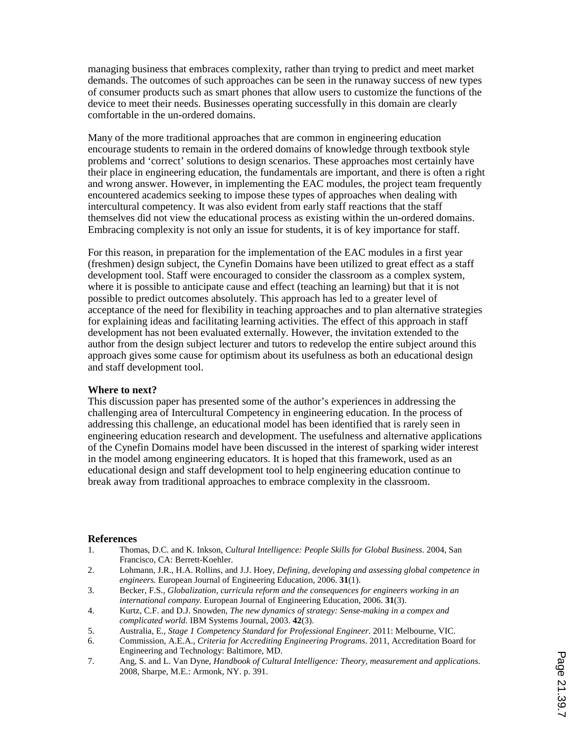managing business that embraces complexity, rather than trying to predict and meet market demands. The outcomes of such approaches can be seen in the runaway success of new types of consumer products such as smart phones that allow users to customize the functions of the device to meet their needs. Businesses operating successfully in this domain are clearly comfortable in the un-ordered domains.

Many of the more traditional approaches that are common in engineering education encourage students to remain in the ordered domains of knowledge through textbook style problems and 'correct' solutions to design scenarios. These approaches most certainly have their place in engineering education, the fundamentals are important, and there is often a right and wrong answer. However, in implementing the EAC modules, the project team frequently encountered academics seeking to impose these types of approaches when dealing with intercultural competency. It was also evident from early staff reactions that the staff themselves did not view the educational process as existing within the un-ordered domains. Embracing complexity is not only an issue for students, it is of key importance for staff.

For this reason, in preparation for the implementation of the EAC modules in a first year (freshmen) design subject, the Cynefin Domains have been utilized to great effect as a staff development tool. Staff were encouraged to consider the classroom as a complex system, where it is possible to anticipate cause and effect (teaching an learning) but that it is not possible to predict outcomes absolutely. This approach has led to a greater level of acceptance of the need for flexibility in teaching approaches and to plan alternative strategies for explaining ideas and facilitating learning activities. The effect of this approach in staff development has not been evaluated externally. However, the invitation extended to the author from the design subject lecturer and tutors to redevelop the entire subject around this approach gives some cause for optimism about its usefulness as both an educational design and staff development tool.

#### **Where to next?**

This discussion paper has presented some of the author's experiences in addressing the challenging area of Intercultural Competency in engineering education. In the process of addressing this challenge, an educational model has been identified that is rarely seen in engineering education research and development. The usefulness and alternative applications of the Cynefin Domains model have been discussed in the interest of sparking wider interest in the model among engineering educators. It is hoped that this framework, used as an educational design and staff development tool to help engineering education continue to break away from traditional approaches to embrace complexity in the classroom.

#### **References**

- 1. Thomas, D.C. and K. Inkson, *Cultural Intelligence: People Skills for Global Business*. 2004, San Francisco, CA: Berrett-Koehler.
- 2. Lohmann, J.R., H.A. Rollins, and J.J. Hoey, *Defining, developing and assessing global competence in engineers.* European Journal of Engineering Education, 2006. **31**(1).
- 3. Becker, F.S., *Globalization, curricula reform and the consequences for engineers working in an international company.* European Journal of Engineering Education, 2006. **31**(3).
- 4. Kurtz, C.F. and D.J. Snowden, *The new dynamics of strategy: Sense-making in a compex and complicated world.* IBM Systems Journal, 2003. **42**(3).
- 5. Australia, E., *Stage 1 Competency Standard for Professional Engineer*. 2011: Melbourne, VIC.
- 6. Commission, A.E.A., *Criteria for Accrediting Engineering Programs*. 2011, Accreditation Board for Engineering and Technology: Baltimore, MD.
- 7. Ang, S. and L. Van Dyne, *Handbook of Cultural Intelligence: Theory, measurement and applications*. 2008, Sharpe, M.E.: Armonk, NY. p. 391.